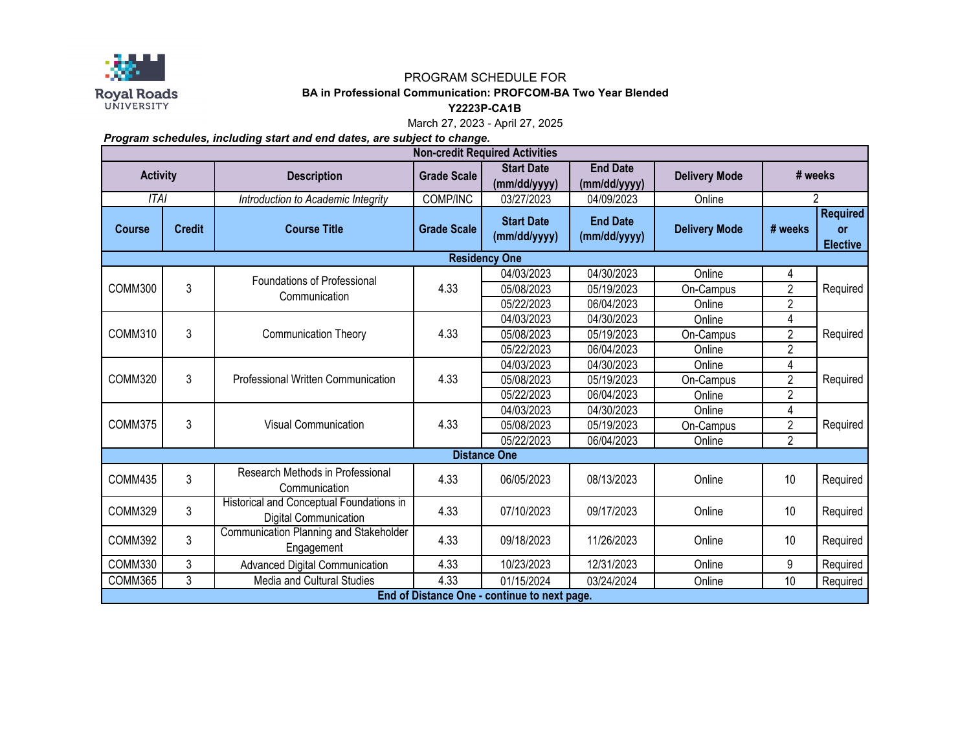

## PROGRAM SCHEDULE FOR

## **BA in Professional Communication: PROFCOM-BA Two Year Blended**

**Y2223P-CA1B**

March 27, 2023 - April 27, 2025

*Program schedules, including start and end dates, are subject to change.*

| <b>Non-credit Required Activities</b> |                                              |                                                                   |                    |                                   |                                 |                      |                |                                                 |  |  |  |  |
|---------------------------------------|----------------------------------------------|-------------------------------------------------------------------|--------------------|-----------------------------------|---------------------------------|----------------------|----------------|-------------------------------------------------|--|--|--|--|
| <b>Activity</b>                       |                                              | <b>Description</b>                                                | <b>Grade Scale</b> | <b>Start Date</b><br>(mm/dd/yyyy) | <b>End Date</b><br>(mm/dd/yyyy) | <b>Delivery Mode</b> | # weeks        |                                                 |  |  |  |  |
| ITAI                                  |                                              | Introduction to Academic Integrity                                | COMP/INC           | 03/27/2023                        | 04/09/2023                      | Online               | 2              |                                                 |  |  |  |  |
| <b>Course</b>                         | <b>Credit</b>                                | <b>Course Title</b>                                               | <b>Grade Scale</b> | <b>Start Date</b><br>(mm/dd/yyyy) | <b>End Date</b><br>(mm/dd/yyyy) | <b>Delivery Mode</b> | # weeks        | <b>Required</b><br><b>or</b><br><b>Elective</b> |  |  |  |  |
| <b>Residency One</b>                  |                                              |                                                                   |                    |                                   |                                 |                      |                |                                                 |  |  |  |  |
| COMM300                               | 3                                            | Foundations of Professional<br>Communication                      | 4.33               | 04/03/2023                        | 04/30/2023                      | Online               | 4              | Required                                        |  |  |  |  |
|                                       |                                              |                                                                   |                    | 05/08/2023                        | 05/19/2023                      | On-Campus            | $\overline{2}$ |                                                 |  |  |  |  |
|                                       |                                              |                                                                   |                    | 05/22/2023                        | 06/04/2023                      | Online               | $\overline{2}$ |                                                 |  |  |  |  |
| COMM310                               | 3                                            | <b>Communication Theory</b>                                       | 4.33               | 04/03/2023                        | 04/30/2023                      | Online               | 4              | Required                                        |  |  |  |  |
|                                       |                                              |                                                                   |                    | 05/08/2023                        | 05/19/2023                      | On-Campus            | $\overline{2}$ |                                                 |  |  |  |  |
|                                       |                                              |                                                                   |                    | 05/22/2023                        | 06/04/2023                      | Online               | $\overline{2}$ |                                                 |  |  |  |  |
| COMM320                               | 3                                            | Professional Written Communication                                | 4.33               | 04/03/2023                        | 04/30/2023                      | Online               | 4              | Required                                        |  |  |  |  |
|                                       |                                              |                                                                   |                    | 05/08/2023                        | 05/19/2023                      | On-Campus            | $\overline{2}$ |                                                 |  |  |  |  |
|                                       |                                              |                                                                   |                    | 05/22/2023                        | 06/04/2023                      | Online               | $\overline{2}$ |                                                 |  |  |  |  |
|                                       | 3                                            | Visual Communication                                              | 4.33               | 04/03/2023                        | 04/30/2023                      | Online               | 4              | Required                                        |  |  |  |  |
| COMM375                               |                                              |                                                                   |                    | 05/08/2023                        | 05/19/2023                      | On-Campus            | $\overline{2}$ |                                                 |  |  |  |  |
|                                       |                                              |                                                                   |                    | 05/22/2023                        | 06/04/2023                      | Online               | $\overline{2}$ |                                                 |  |  |  |  |
|                                       |                                              |                                                                   |                    | <b>Distance One</b>               |                                 |                      |                |                                                 |  |  |  |  |
| COMM435                               | 3                                            | Research Methods in Professional<br>Communication                 | 4.33               | 06/05/2023                        | 08/13/2023                      | Online               | 10             | Required                                        |  |  |  |  |
| COMM329                               | 3                                            | Historical and Conceptual Foundations in<br>Digital Communication | 4.33               | 07/10/2023                        | 09/17/2023                      | Online               | 10             | Required                                        |  |  |  |  |
| COMM392                               | 3                                            | Communication Planning and Stakeholder<br>Engagement              | 4.33               | 09/18/2023                        | 11/26/2023                      | Online               | 10             | Required                                        |  |  |  |  |
| COMM330                               | 3                                            | Advanced Digital Communication                                    | 4.33               | 10/23/2023                        | 12/31/2023                      | Online               | 9              | Required                                        |  |  |  |  |
| COMM365                               | 3                                            | Media and Cultural Studies                                        | 4.33               | 01/15/2024                        | 03/24/2024                      | Online               | 10             | Required                                        |  |  |  |  |
|                                       | End of Distance One - continue to next page. |                                                                   |                    |                                   |                                 |                      |                |                                                 |  |  |  |  |